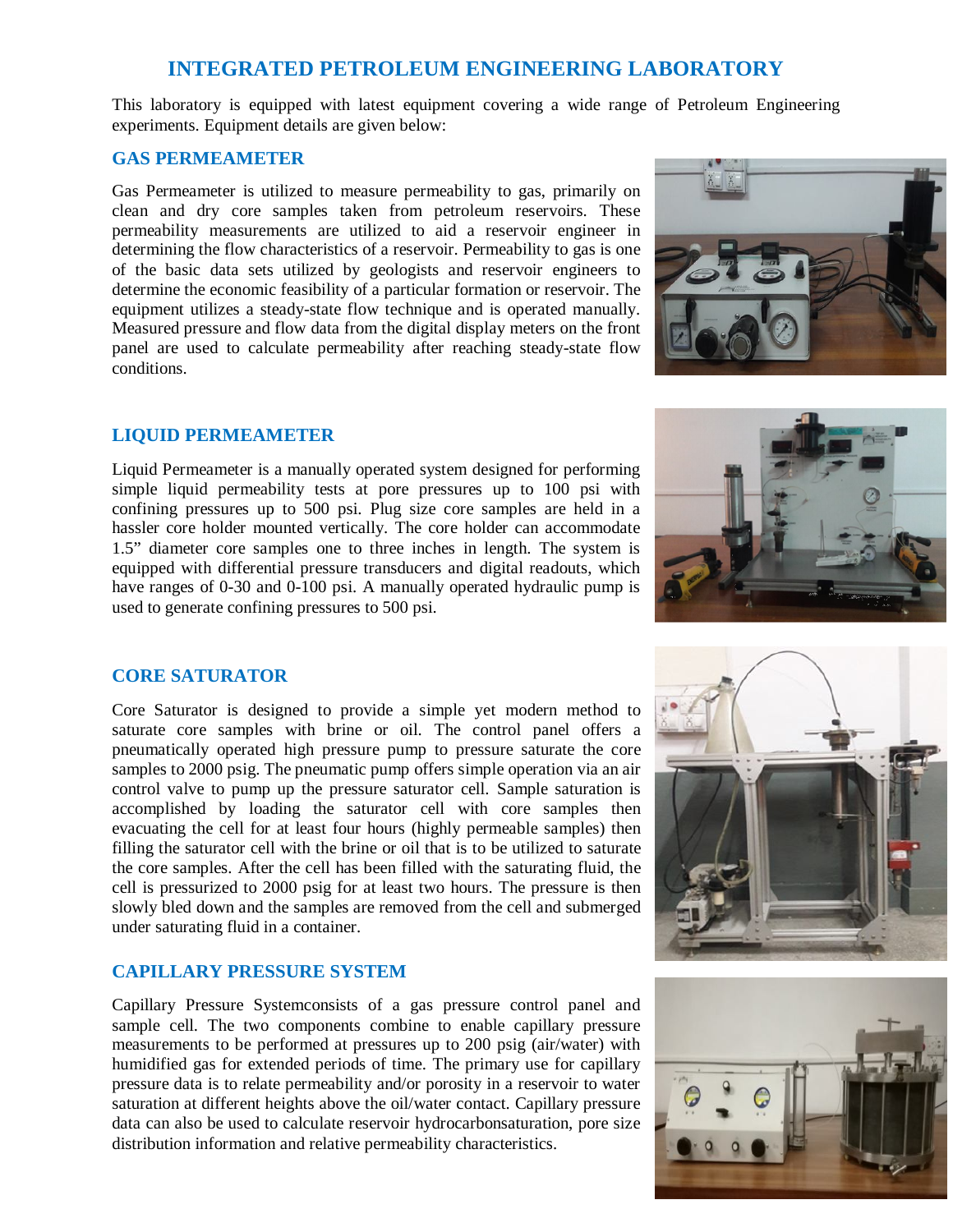# **INTEGRATED PETROLEUM ENGINEERING LABORATORY**

This laboratory is equipped with latest equipment covering a wide range of Petroleum Engineering experiments. Equipment details are given below:

# **GAS PERMEAMETER**

Gas Permeameter is utilized to measure permeability to gas, primarily on clean and dry core samples taken from petroleum reservoirs. These permeability measurements are utilized to aid a reservoir engineer in determining the flow characteristics of a reservoir. Permeability to gas is one of the basic data sets utilized by geologists and reservoir engineers to determine the economic feasibility of a particular formation or reservoir. The equipment utilizes a steady-state flow technique and is operated manually. Measured pressure and flow data from the digital display meters on the front panel are used to calculate permeability after reaching steady-state flow conditions.



# **LIQUID PERMEAMETER**

Liquid Permeameter is a manually operated system designed for performing simple liquid permeability tests at pore pressures up to 100 psi with confining pressures up to 500 psi. Plug size core samples are held in a hassler core holder mounted vertically. The core holder can accommodate 1.5" diameter core samples one to three inches in length. The system is equipped with differential pressure transducers and digital readouts, which have ranges of 0-30 and 0-100 psi. A manually operated hydraulic pump is used to generate confining pressures to 500 psi.



# **CORE SATURATOR**

Core Saturator is designed to provide a simple yet modern method to saturate core samples with brine or oil. The control panel offers a pneumatically operated high pressure pump to pressure saturate the core samples to 2000 psig. The pneumatic pump offers simple operation via an air control valve to pump up the pressure saturator cell. Sample saturation is accomplished by loading the saturator cell with core samples then evacuating the cell for at least four hours (highly permeable samples) then filling the saturator cell with the brine or oil that is to be utilized to saturate the core samples. After the cell has been filled with the saturating fluid, the cell is pressurized to 2000 psig for at least two hours. The pressure is then slowly bled down and the samples are removed from the cell and submerged under saturating fluid in a container.

# **CAPILLARY PRESSURE SYSTEM**

Capillary Pressure Systemconsists of a gas pressure control panel and sample cell. The two components combine to enable capillary pressure measurements to be performed at pressures up to 200 psig (air/water) with humidified gas for extended periods of time. The primary use for capillary pressure data is to relate permeability and/or porosity in a reservoir to water saturation at different heights above the oil/water contact. Capillary pressure data can also be used to calculate reservoir hydrocarbonsaturation, pore size distribution information and relative permeability characteristics.